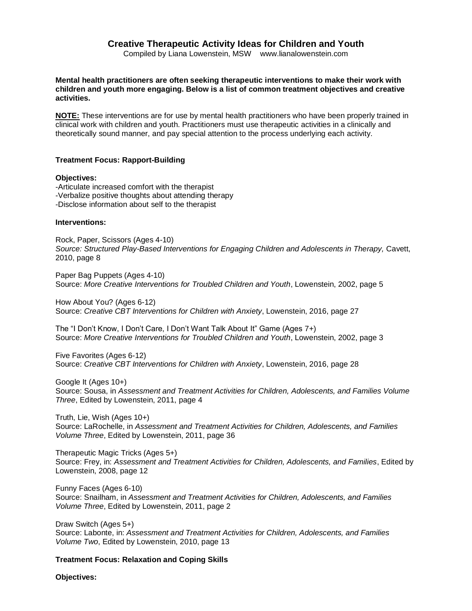# **Creative Therapeutic Activity Ideas for Children and Youth**

Compiled by Liana Lowenstein, MSW www.lianalowenstein.com

**Mental health practitioners are often seeking therapeutic interventions to make their work with children and youth more engaging. Below is a list of common treatment objectives and creative activities.** 

**NOTE:** These interventions are for use by mental health practitioners who have been properly trained in clinical work with children and youth. Practitioners must use therapeutic activities in a clinically and theoretically sound manner, and pay special attention to the process underlying each activity.

# **Treatment Focus: Rapport-Building**

### **Objectives:**

-Articulate increased comfort with the therapist -Verbalize positive thoughts about attending therapy -Disclose information about self to the therapist

# **Interventions:**

Rock, Paper, Scissors (Ages 4-10) *Source: Structured Play-Based Interventions for Engaging Children and Adolescents in Therapy,* Cavett, 2010, page 8

Paper Bag Puppets (Ages 4-10) Source: *More Creative Interventions for Troubled Children and Youth*, Lowenstein, 2002, page 5

How About You? (Ages 6-12) Source: *Creative CBT Interventions for Children with Anxiety*, Lowenstein, 2016, page 27

The "I Don't Know, I Don't Care, I Don't Want Talk About It" Game (Ages 7+) Source: *More Creative Interventions for Troubled Children and Youth*, Lowenstein, 2002, page 3

Five Favorites (Ages 6-12) Source: *Creative CBT Interventions for Children with Anxiety*, Lowenstein, 2016, page 28

Google It (Ages 10+) Source: Sousa, in *Assessment and Treatment Activities for Children, Adolescents, and Families Volume Three*, Edited by Lowenstein, 2011, page 4

Truth, Lie, Wish (Ages 10+) Source: LaRochelle, in *Assessment and Treatment Activities for Children, Adolescents, and Families Volume Three*, Edited by Lowenstein, 2011, page 36

Therapeutic Magic Tricks (Ages 5+) Source: Frey, in: *Assessment and Treatment Activities for Children, Adolescents, and Families*, Edited by Lowenstein, 2008, page 12

Funny Faces (Ages 6-10) Source: Snailham, in *Assessment and Treatment Activities for Children, Adolescents, and Families Volume Three*, Edited by Lowenstein, 2011, page 2

Draw Switch (Ages 5+) Source: Labonte, in: *Assessment and Treatment Activities for Children, Adolescents, and Families Volume Two*, Edited by Lowenstein, 2010, page 13

# **Treatment Focus: Relaxation and Coping Skills**

**Objectives:**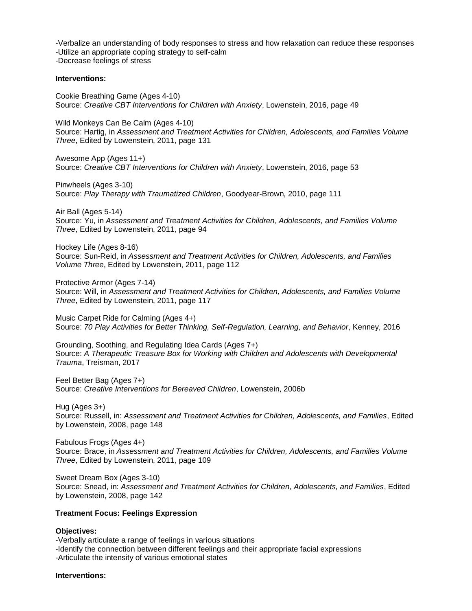-Verbalize an understanding of body responses to stress and how relaxation can reduce these responses -Utilize an appropriate coping strategy to self-calm -Decrease feelings of stress

### **Interventions:**

Cookie Breathing Game (Ages 4-10) Source: *Creative CBT Interventions for Children with Anxiety*, Lowenstein, 2016, page 49

Wild Monkeys Can Be Calm (Ages 4-10) Source: Hartig, in *Assessment and Treatment Activities for Children, Adolescents, and Families Volume Three*, Edited by Lowenstein, 2011, page 131

Awesome App (Ages 11+) Source: *Creative CBT Interventions for Children with Anxiety*, Lowenstein, 2016, page 53

Pinwheels (Ages 3-10) Source: *Play Therapy with Traumatized Children*, Goodyear-Brown, 2010, page 111

Air Ball (Ages 5-14) Source: Yu, in *Assessment and Treatment Activities for Children, Adolescents, and Families Volume Three*, Edited by Lowenstein, 2011, page 94

Hockey Life (Ages 8-16) Source: Sun-Reid, in *Assessment and Treatment Activities for Children, Adolescents, and Families Volume Three*, Edited by Lowenstein, 2011, page 112

Protective Armor (Ages 7-14) Source: Will, in *Assessment and Treatment Activities for Children, Adolescents, and Families Volume Three*, Edited by Lowenstein, 2011, page 117

Music Carpet Ride for Calming (Ages 4+) Source: *70 Play Activities for Better Thinking, Self-Regulation, Learning, and Behavior, Kenney, 2016* 

Grounding, Soothing, and Regulating Idea Cards (Ages 7+) Source: *A Therapeutic Treasure Box for Working with Children and Adolescents with Developmental Trauma*, Treisman, 2017

Feel Better Bag (Ages 7+) Source: *Creative Interventions for Bereaved Children*, Lowenstein, 2006b

Hug (Ages 3+) Source: Russell, in: *Assessment and Treatment Activities for Children, Adolescents, and Families*, Edited by Lowenstein, 2008, page 148

Fabulous Frogs (Ages 4+) Source: Brace, in *Assessment and Treatment Activities for Children, Adolescents, and Families Volume Three*, Edited by Lowenstein, 2011, page 109

Sweet Dream Box (Ages 3-10) Source: Snead, in: *Assessment and Treatment Activities for Children, Adolescents, and Families*, Edited by Lowenstein, 2008, page 142

### **Treatment Focus: Feelings Expression**

#### **Objectives:**

-Verbally articulate a range of feelings in various situations -Identify the connection between different feelings and their appropriate facial expressions -Articulate the intensity of various emotional states

#### **Interventions:**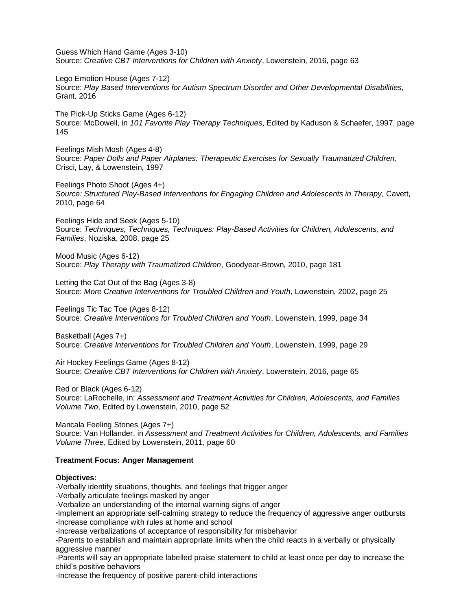Guess Which Hand Game (Ages 3-10) Source: *Creative CBT Interventions for Children with Anxiety*, Lowenstein, 2016, page 63

Lego Emotion House (Ages 7-12) Source: *Play Based Interventions for Autism Spectrum Disorder and Other Developmental Disabilities,* Grant*,* 2016

The Pick-Up Sticks Game (Ages 6-12) Source: McDowell, in *101 Favorite Play Therapy Techniques*, Edited by Kaduson & Schaefer, 1997, page 145

Feelings Mish Mosh (Ages 4-8) Source: *Paper Dolls and Paper Airplanes: Therapeutic Exercises for Sexually Traumatized Children,* Crisci, Lay, & Lowenstein, 1997

Feelings Photo Shoot (Ages 4+) *Source: Structured Play-Based Interventions for Engaging Children and Adolescents in Therapy,* Cavett, 2010, page 64

Feelings Hide and Seek (Ages 5-10) Source: *Techniques, Techniques, Techniques: Play-Based Activities for Children, Adolescents, and Families*, Noziska, 2008, page 25

Mood Music (Ages 6-12) Source: *Play Therapy with Traumatized Children*, Goodyear-Brown, 2010, page 181

Letting the Cat Out of the Bag (Ages 3-8) Source: *More Creative Interventions for Troubled Children and Youth*, Lowenstein, 2002, page 25

Feelings Tic Tac Toe (Ages 8-12) Source: *Creative Interventions for Troubled Children and Youth*, Lowenstein, 1999, page 34

Basketball (Ages 7+) Source: *Creative Interventions for Troubled Children and Youth*, Lowenstein, 1999, page 29

Air Hockey Feelings Game (Ages 8-12) Source: *Creative CBT Interventions for Children with Anxiety*, Lowenstein, 2016, page 65

Red or Black (Ages 6-12) Source: LaRochelle, in: *Assessment and Treatment Activities for Children, Adolescents, and Families Volume Two*, Edited by Lowenstein, 2010, page 52

Mancala Feeling Stones (Ages 7+) Source: Van Hollander, in *Assessment and Treatment Activities for Children, Adolescents, and Families Volume Three*, Edited by Lowenstein, 2011, page 60

# **Treatment Focus: Anger Management**

#### **Objectives:**

-Verbally identify situations, thoughts, and feelings that trigger anger

-Verbally articulate feelings masked by anger

-Verbalize an understanding of the internal warning signs of anger

-Implement an appropriate self-calming strategy to reduce the frequency of aggressive anger outbursts -Increase compliance with rules at home and school

-Increase verbalizations of acceptance of responsibility for misbehavior

-Parents to establish and maintain appropriate limits when the child reacts in a verbally or physically aggressive manner

-Parents will say an appropriate labelled praise statement to child at least once per day to increase the child's positive behaviors

-Increase the frequency of positive parent-child interactions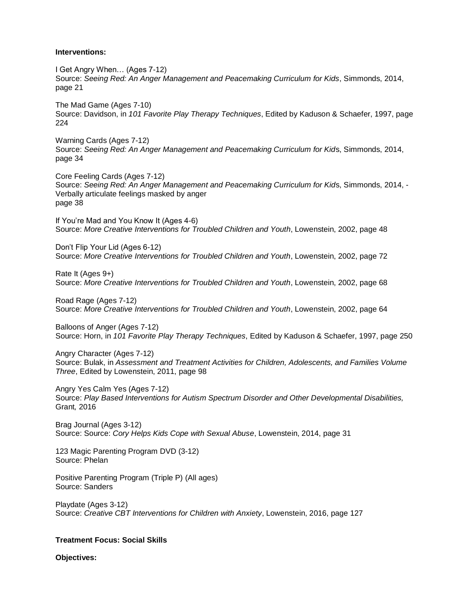### **Interventions:**

I Get Angry When… (Ages 7-12) Source: *Seeing Red: An Anger Management and Peacemaking Curriculum for Kids*, Simmonds, 2014, page 21

The Mad Game (Ages 7-10) Source: Davidson, in *101 Favorite Play Therapy Techniques*, Edited by Kaduson & Schaefer, 1997, page 224

Warning Cards (Ages 7-12) Source: *Seeing Red: An Anger Management and Peacemaking Curriculum for Kid*s, Simmonds, 2014, page 34

Core Feeling Cards (Ages 7-12) Source: *Seeing Red: An Anger Management and Peacemaking Curriculum for Kid*s, Simmonds, 2014, - Verbally articulate feelings masked by anger page 38

If You're Mad and You Know It (Ages 4-6) Source: *More Creative Interventions for Troubled Children and Youth*, Lowenstein, 2002, page 48

Don't Flip Your Lid (Ages 6-12) Source: *More Creative Interventions for Troubled Children and Youth*, Lowenstein, 2002, page 72

Rate It (Ages 9+) Source: *More Creative Interventions for Troubled Children and Youth*, Lowenstein, 2002, page 68

Road Rage (Ages 7-12) Source: *More Creative Interventions for Troubled Children and Youth*, Lowenstein, 2002, page 64

Balloons of Anger (Ages 7-12) Source: Horn, in *101 Favorite Play Therapy Techniques*, Edited by Kaduson & Schaefer, 1997, page 250

Angry Character (Ages 7-12) Source: Bulak, in *Assessment and Treatment Activities for Children, Adolescents, and Families Volume Three*, Edited by Lowenstein, 2011, page 98

Angry Yes Calm Yes (Ages 7-12) Source: *Play Based Interventions for Autism Spectrum Disorder and Other Developmental Disabilities,*  Grant*,* 2016

Brag Journal (Ages 3-12) Source: Source: *Cory Helps Kids Cope with Sexual Abuse*, Lowenstein, 2014, page 31

123 Magic Parenting Program DVD (3-12) Source: Phelan

Positive Parenting Program (Triple P) (All ages) Source: Sanders

Playdate (Ages 3-12) Source: *Creative CBT Interventions for Children with Anxiety*, Lowenstein, 2016, page 127

# **Treatment Focus: Social Skills**

**Objectives:**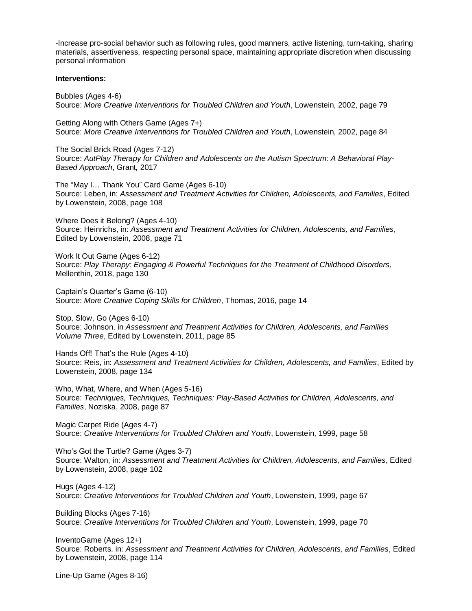-Increase pro-social behavior such as following rules, good manners, active listening, turn-taking, sharing materials, assertiveness, respecting personal space, maintaining appropriate discretion when discussing personal information

### **Interventions:**

Bubbles (Ages 4-6) Source: *More Creative Interventions for Troubled Children and Youth*, Lowenstein, 2002, page 79

Getting Along with Others Game (Ages 7+) Source: *More Creative Interventions for Troubled Children and Youth*, Lowenstein, 2002, page 84

The Social Brick Road (Ages 7-12) Source: *AutPlay Therapy for Children and Adolescents on the Autism Spectrum: A Behavioral Play-Based Approach*, Grant*,* 2017

The "May I… Thank You" Card Game (Ages 6-10) Source: Leben, in: *Assessment and Treatment Activities for Children, Adolescents, and Families*, Edited by Lowenstein, 2008, page 108

Where Does it Belong? (Ages 4-10) Source: Heinrichs, in: *Assessment and Treatment Activities for Children, Adolescents, and Families*, Edited by Lowenstein, 2008, page 71

Work It Out Game (Ages 6-12) Source: *Play Therapy: Engaging & Powerful Techniques for the Treatment of Childhood Disorders,*  Mellenthin, 2018, page 130

Captain's Quarter's Game (6-10) Source: *More Creative Coping Skills for Children*, Thomas, 2016, page 14

Stop, Slow, Go (Ages 6-10) Source: Johnson, in *Assessment and Treatment Activities for Children, Adolescents, and Families Volume Three*, Edited by Lowenstein, 2011, page 85

Hands Off! That's the Rule (Ages 4-10) Source: Reis, in: *Assessment and Treatment Activities for Children, Adolescents, and Families*, Edited by Lowenstein, 2008, page 134

Who, What, Where, and When (Ages 5-16) Source: *Techniques, Techniques, Techniques: Play-Based Activities for Children, Adolescents, and Families*, Noziska, 2008, page 87

Magic Carpet Ride (Ages 4-7) Source: *Creative Interventions for Troubled Children and Youth*, Lowenstein, 1999, page 58

Who's Got the Turtle? Game (Ages 3-7) Source: Walton, in: *Assessment and Treatment Activities for Children, Adolescents, and Families*, Edited by Lowenstein, 2008, page 102

Hugs (Ages 4-12) Source: *Creative Interventions for Troubled Children and Youth*, Lowenstein, 1999, page 67

Building Blocks (Ages 7-16) Source: *Creative Interventions for Troubled Children and Youth*, Lowenstein, 1999, page 70

InventoGame (Ages 12+) Source: Roberts, in: *Assessment and Treatment Activities for Children, Adolescents, and Families*, Edited by Lowenstein, 2008, page 114

Line-Up Game (Ages 8-16)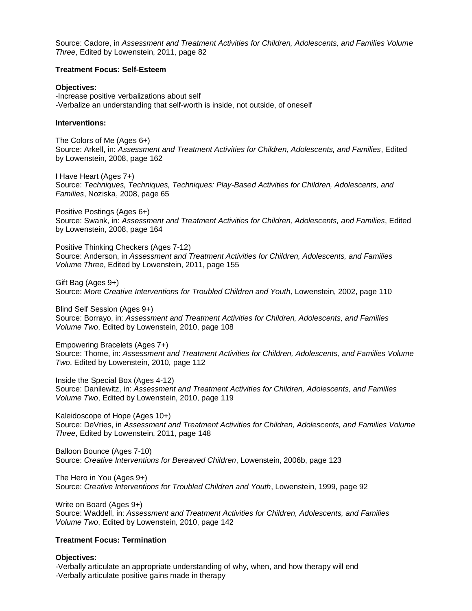Source: Cadore, in *Assessment and Treatment Activities for Children, Adolescents, and Families Volume Three*, Edited by Lowenstein, 2011, page 82

### **Treatment Focus: Self-Esteem**

**Objectives:**  -Increase positive verbalizations about self -Verbalize an understanding that self-worth is inside, not outside, of oneself

### **Interventions:**

The Colors of Me (Ages 6+) Source: Arkell, in: *Assessment and Treatment Activities for Children, Adolescents, and Families*, Edited by Lowenstein, 2008, page 162

I Have Heart (Ages 7+) Source: *Techniques, Techniques, Techniques: Play-Based Activities for Children, Adolescents, and Families*, Noziska, 2008, page 65

Positive Postings (Ages 6+) Source: Swank, in: *Assessment and Treatment Activities for Children, Adolescents, and Families*, Edited by Lowenstein, 2008, page 164

Positive Thinking Checkers (Ages 7-12) Source: Anderson, in *Assessment and Treatment Activities for Children, Adolescents, and Families Volume Three*, Edited by Lowenstein, 2011, page 155

Gift Bag (Ages 9+) Source: *More Creative Interventions for Troubled Children and Youth*, Lowenstein, 2002, page 110

Blind Self Session (Ages 9+) Source: Borrayo, in: *Assessment and Treatment Activities for Children, Adolescents, and Families Volume Two*, Edited by Lowenstein, 2010, page 108

Empowering Bracelets (Ages 7+) Source: Thome, in: *Assessment and Treatment Activities for Children, Adolescents, and Families Volume Two*, Edited by Lowenstein, 2010, page 112

Inside the Special Box (Ages 4-12) Source: Danilewitz, in: *Assessment and Treatment Activities for Children, Adolescents, and Families Volume Two*, Edited by Lowenstein, 2010, page 119

Kaleidoscope of Hope (Ages 10+) Source: DeVries, in *Assessment and Treatment Activities for Children, Adolescents, and Families Volume Three*, Edited by Lowenstein, 2011, page 148

Balloon Bounce (Ages 7-10) Source: *Creative Interventions for Bereaved Children*, Lowenstein, 2006b, page 123

The Hero in You (Ages 9+) Source: *Creative Interventions for Troubled Children and Youth*, Lowenstein, 1999, page 92

Write on Board (Ages 9+) Source: Waddell, in: *Assessment and Treatment Activities for Children, Adolescents, and Families Volume Two*, Edited by Lowenstein, 2010, page 142

# **Treatment Focus: Termination**

# **Objectives:**

-Verbally articulate an appropriate understanding of why, when, and how therapy will end -Verbally articulate positive gains made in therapy